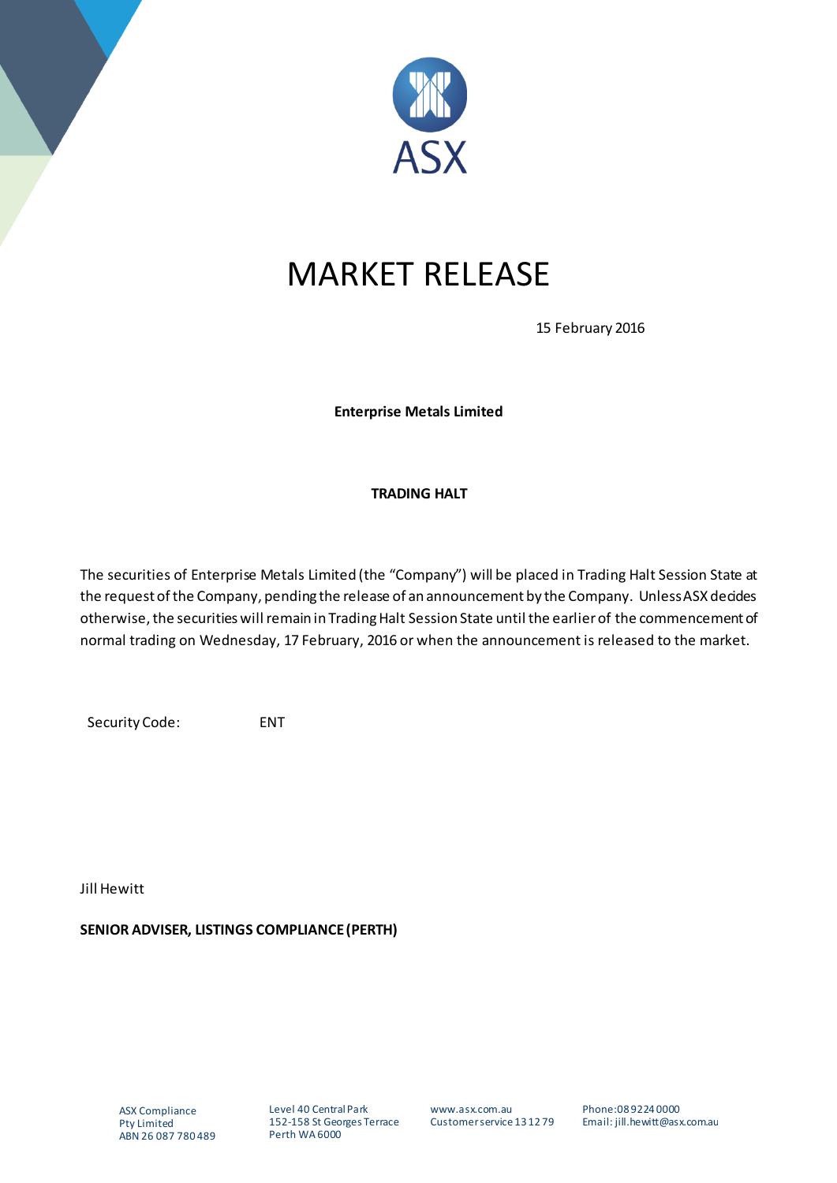

## MARKET RELEASE

15 February 2016

**Enterprise Metals Limited**

## **TRADING HALT**

The securities of Enterprise Metals Limited (the "Company") will be placed in Trading Halt Session State at the request of the Company, pending the release of an announcement by the Company. Unless ASX decides otherwise, the securities will remain in Trading Halt Session State until the earlier of the commencement of normal trading on Wednesday, 17 February, 2016 or when the announcement is released to the market.

Security Code: ENT

Jill Hewitt

**SENIOR ADVISER, LISTINGS COMPLIANCE (PERTH)**

Level 40 Central Park 152-158 St Georges Terrace Perth WA 6000

www.asx.com.au Customer service 13 12 79 Phone:08 9224 0000 Email: jill.hewitt@asx.com.au